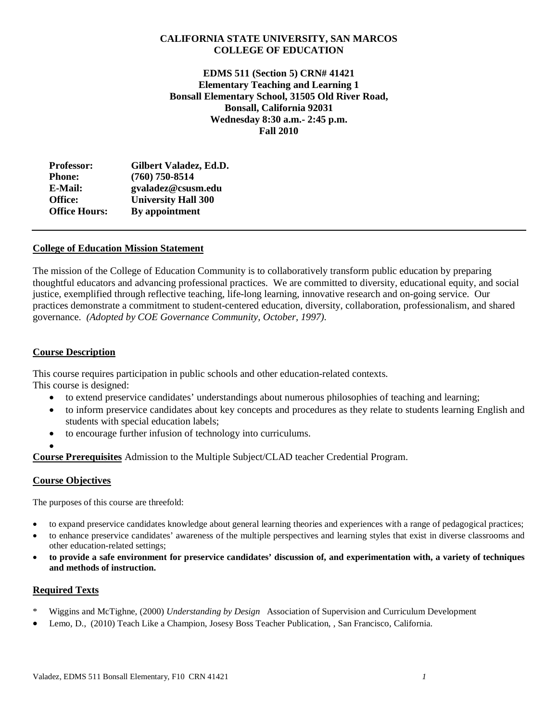## **CALIFORNIA STATE UNIVERSITY, SAN MARCOS COLLEGE OF EDUCATION**

**EDMS 511 (Section 5) CRN# 41421 Elementary Teaching and Learning 1 Bonsall Elementary School, 31505 Old River Road, Bonsall, California 92031 Wednesday 8:30 a.m.- 2:45 p.m. Fall 2010**

| Gilbert Valadez, Ed.D.     |
|----------------------------|
| $(760)$ 750-8514           |
| gvaladez@csusm.edu         |
| <b>University Hall 300</b> |
| By appointment             |
|                            |

## **College of Education Mission Statement**

The mission of the College of Education Community is to collaboratively transform public education by preparing thoughtful educators and advancing professional practices. We are committed to diversity, educational equity, and social justice, exemplified through reflective teaching, life-long learning, innovative research and on-going service. Our practices demonstrate a commitment to student-centered education, diversity, collaboration, professionalism, and shared governance. *(Adopted by COE Governance Community, October, 1997).*

## **Course Description**

This course requires participation in public schools and other education-related contexts. This course is designed:

- to extend preservice candidates' understandings about numerous philosophies of teaching and learning;
- to inform preservice candidates about key concepts and procedures as they relate to students learning English and students with special education labels;
- to encourage further infusion of technology into curriculums.

•

**Course Prerequisites** Admission to the Multiple Subject/CLAD teacher Credential Program.

## **Course Objectives**

The purposes of this course are threefold:

- to expand preservice candidates knowledge about general learning theories and experiences with a range of pedagogical practices;
- to enhance preservice candidates' awareness of the multiple perspectives and learning styles that exist in diverse classrooms and other education-related settings;
- **to provide a safe environment for preservice candidates' discussion of, and experimentation with, a variety of techniques and methods of instruction.**

### **Required Texts**

- \* Wiggins and McTighne, (2000) *Understanding by Design* Association of Supervision and Curriculum Development
- Lemo, D., (2010) Teach Like a Champion, Josesy Boss Teacher Publication, , San Francisco, California.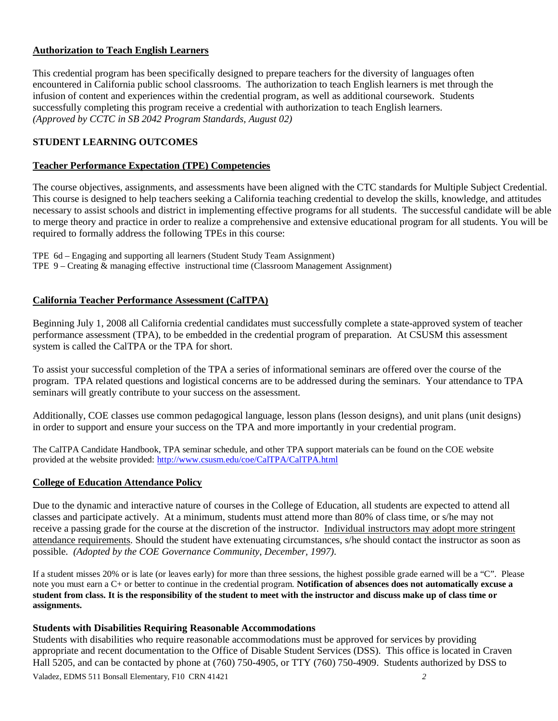# **Authorization to Teach English Learners**

This credential program has been specifically designed to prepare teachers for the diversity of languages often encountered in California public school classrooms. The authorization to teach English learners is met through the infusion of content and experiences within the credential program, as well as additional coursework. Students successfully completing this program receive a credential with authorization to teach English learners. *(Approved by CCTC in SB 2042 Program Standards, August 02)*

# **STUDENT LEARNING OUTCOMES**

## **Teacher Performance Expectation (TPE) Competencies**

The course objectives, assignments, and assessments have been aligned with the CTC standards for Multiple Subject Credential. This course is designed to help teachers seeking a California teaching credential to develop the skills, knowledge, and attitudes necessary to assist schools and district in implementing effective programs for all students. The successful candidate will be able to merge theory and practice in order to realize a comprehensive and extensive educational program for all students. You will be required to formally address the following TPEs in this course:

TPE 6d – Engaging and supporting all learners (Student Study Team Assignment) TPE 9 – Creating & managing effective instructional time (Classroom Management Assignment)

# **California Teacher Performance Assessment (CalTPA)**

Beginning July 1, 2008 all California credential candidates must successfully complete a state-approved system of teacher performance assessment (TPA), to be embedded in the credential program of preparation. At CSUSM this assessment system is called the CalTPA or the TPA for short.

To assist your successful completion of the TPA a series of informational seminars are offered over the course of the program. TPA related questions and logistical concerns are to be addressed during the seminars. Your attendance to TPA seminars will greatly contribute to your success on the assessment.

Additionally, COE classes use common pedagogical language, lesson plans (lesson designs), and unit plans (unit designs) in order to support and ensure your success on the TPA and more importantly in your credential program.

The CalTPA Candidate Handbook, TPA seminar schedule, and other TPA support materials can be found on the COE website provided at the website provided:<http://www.csusm.edu/coe/CalTPA/CalTPA.html>

## **College of Education Attendance Policy**

Due to the dynamic and interactive nature of courses in the College of Education, all students are expected to attend all classes and participate actively. At a minimum, students must attend more than 80% of class time, or s/he may not receive a passing grade for the course at the discretion of the instructor. Individual instructors may adopt more stringent attendance requirements. Should the student have extenuating circumstances, s/he should contact the instructor as soon as possible. *(Adopted by the COE Governance Community, December, 1997).*

If a student misses 20% or is late (or leaves early) for more than three sessions, the highest possible grade earned will be a "C". Please note you must earn a C+ or better to continue in the credential program. **Notification of absences does not automatically excuse a student from class. It is the responsibility of the student to meet with the instructor and discuss make up of class time or assignments.**

## **Students with Disabilities Requiring Reasonable Accommodations**

Valadez, EDMS 511 Bonsall Elementary, F10 CRN 41421 *2* Students with disabilities who require reasonable accommodations must be approved for services by providing appropriate and recent documentation to the Office of Disable Student Services (DSS). This office is located in Craven Hall 5205, and can be contacted by phone at (760) 750-4905, or TTY (760) 750-4909. Students authorized by DSS to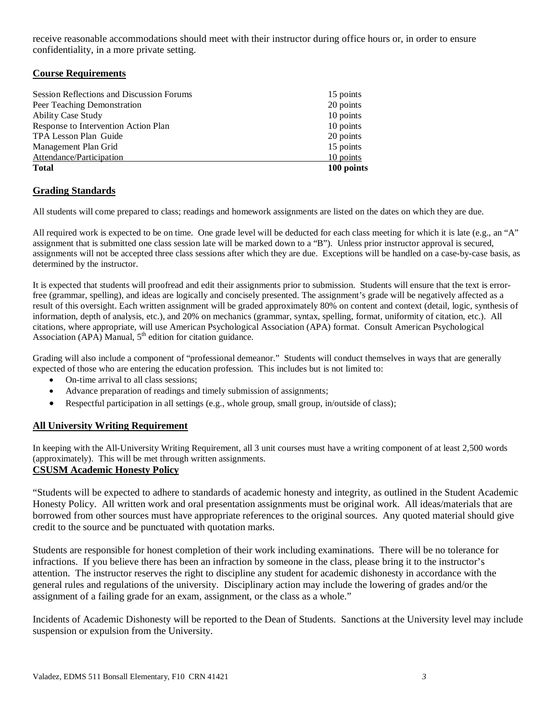receive reasonable accommodations should meet with their instructor during office hours or, in order to ensure confidentiality, in a more private setting.

## **Course Requirements**

| 100 points |
|------------|
| 10 points  |
| 15 points  |
| 20 points  |
| 10 points  |
| 10 points  |
| 20 points  |
| 15 points  |
|            |

## **Grading Standards**

All students will come prepared to class; readings and homework assignments are listed on the dates on which they are due.

All required work is expected to be on time. One grade level will be deducted for each class meeting for which it is late (e.g., an "A" assignment that is submitted one class session late will be marked down to a "B"). Unless prior instructor approval is secured, assignments will not be accepted three class sessions after which they are due. Exceptions will be handled on a case-by-case basis, as determined by the instructor.

It is expected that students will proofread and edit their assignments prior to submission. Students will ensure that the text is errorfree (grammar, spelling), and ideas are logically and concisely presented. The assignment's grade will be negatively affected as a result of this oversight. Each written assignment will be graded approximately 80% on content and context (detail, logic, synthesis of information, depth of analysis, etc.), and 20% on mechanics (grammar, syntax, spelling, format, uniformity of citation, etc.). All citations, where appropriate, will use American Psychological Association (APA) format. Consult American Psychological Association (APA) Manual,  $5<sup>th</sup>$  edition for citation guidance.

Grading will also include a component of "professional demeanor." Students will conduct themselves in ways that are generally expected of those who are entering the education profession. This includes but is not limited to:

- On-time arrival to all class sessions:
- Advance preparation of readings and timely submission of assignments;
- Respectful participation in all settings (e.g., whole group, small group, in/outside of class);

## **All University Writing Requirement**

In keeping with the All-University Writing Requirement, all 3 unit courses must have a writing component of at least 2,500 words (approximately). This will be met through written assignments.

# **CSUSM Academic Honesty Policy**

"Students will be expected to adhere to standards of academic honesty and integrity, as outlined in the Student Academic Honesty Policy. All written work and oral presentation assignments must be original work. All ideas/materials that are borrowed from other sources must have appropriate references to the original sources. Any quoted material should give credit to the source and be punctuated with quotation marks.

Students are responsible for honest completion of their work including examinations. There will be no tolerance for infractions. If you believe there has been an infraction by someone in the class, please bring it to the instructor's attention. The instructor reserves the right to discipline any student for academic dishonesty in accordance with the general rules and regulations of the university. Disciplinary action may include the lowering of grades and/or the assignment of a failing grade for an exam, assignment, or the class as a whole."

Incidents of Academic Dishonesty will be reported to the Dean of Students. Sanctions at the University level may include suspension or expulsion from the University.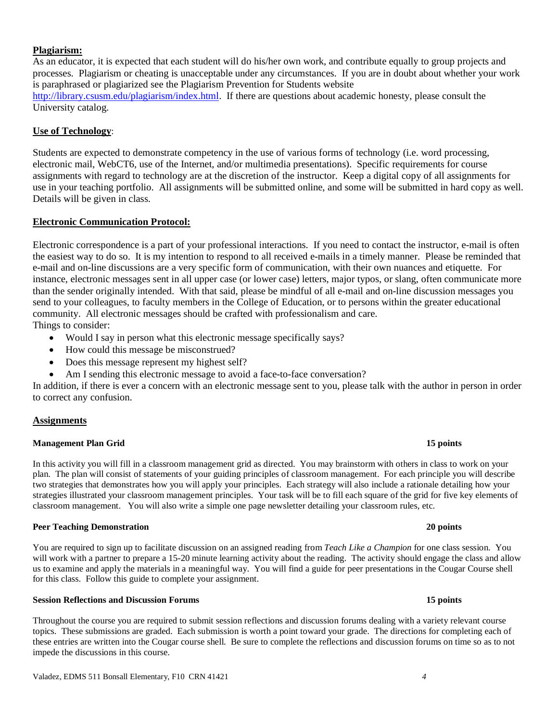## **Plagiarism:**

As an educator, it is expected that each student will do his/her own work, and contribute equally to group projects and processes. Plagiarism or cheating is unacceptable under any circumstances. If you are in doubt about whether your work is paraphrased or plagiarized see the Plagiarism Prevention for Students website [http://library.csusm.edu/plagiarism/index.html.](http://library.csusm.edu/plagiarism/index.html) If there are questions about academic honesty, please consult the University catalog.

### **Use of Technology**:

Students are expected to demonstrate competency in the use of various forms of technology (i.e. word processing, electronic mail, WebCT6, use of the Internet, and/or multimedia presentations). Specific requirements for course assignments with regard to technology are at the discretion of the instructor. Keep a digital copy of all assignments for use in your teaching portfolio. All assignments will be submitted online, and some will be submitted in hard copy as well. Details will be given in class.

## **Electronic Communication Protocol:**

Electronic correspondence is a part of your professional interactions. If you need to contact the instructor, e-mail is often the easiest way to do so. It is my intention to respond to all received e-mails in a timely manner. Please be reminded that e-mail and on-line discussions are a very specific form of communication, with their own nuances and etiquette. For instance, electronic messages sent in all upper case (or lower case) letters, major typos, or slang, often communicate more than the sender originally intended. With that said, please be mindful of all e-mail and on-line discussion messages you send to your colleagues, to faculty members in the College of Education, or to persons within the greater educational community. All electronic messages should be crafted with professionalism and care.

Things to consider:

- Would I say in person what this electronic message specifically says?
- How could this message be misconstrued?
- Does this message represent my highest self?
- Am I sending this electronic message to avoid a face-to-face conversation?

In addition, if there is ever a concern with an electronic message sent to you, please talk with the author in person in order to correct any confusion.

### **Assignments**

### **Management Plan Grid 15 points**

In this activity you will fill in a classroom management grid as directed. You may brainstorm with others in class to work on your plan. The plan will consist of statements of your guiding principles of classroom management. For each principle you will describe two strategies that demonstrates how you will apply your principles. Each strategy will also include a rationale detailing how your strategies illustrated your classroom management principles. Your task will be to fill each square of the grid for five key elements of classroom management. You will also write a simple one page newsletter detailing your classroom rules, etc.

#### **Peer Teaching Demonstration 20 points**

You are required to sign up to facilitate discussion on an assigned reading from *Teach Like a Champion* for one class session. You will work with a partner to prepare a 15-20 minute learning activity about the reading. The activity should engage the class and allow us to examine and apply the materials in a meaningful way. You will find a guide for peer presentations in the Cougar Course shell for this class. Follow this guide to complete your assignment.

### **Session Reflections and Discussion Forums 15 points**

Throughout the course you are required to submit session reflections and discussion forums dealing with a variety relevant course topics. These submissions are graded. Each submission is worth a point toward your grade. The directions for completing each of these entries are written into the Cougar course shell. Be sure to complete the reflections and discussion forums on time so as to not impede the discussions in this course.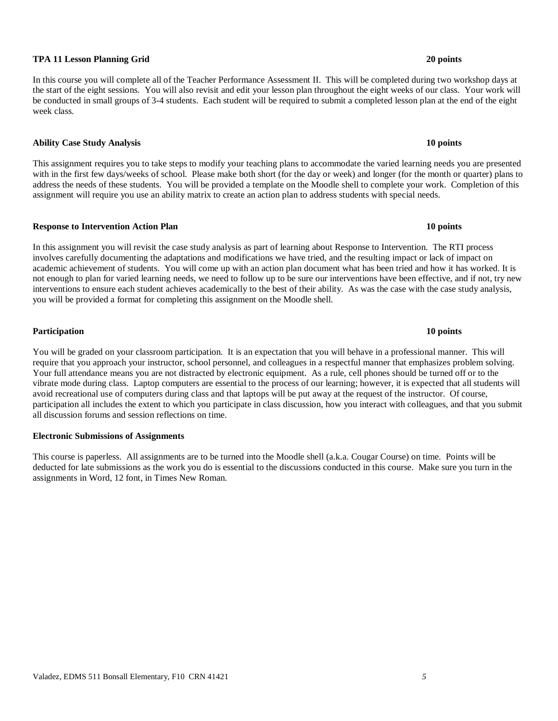#### Valadez, EDMS 511 Bonsall Elementary, F10 CRN 41421 *5*

#### **TPA 11 Lesson Planning Grid 20 points**

In this course you will complete all of the Teacher Performance Assessment II. This will be completed during two workshop days at the start of the eight sessions. You will also revisit and edit your lesson plan throughout the eight weeks of our class. Your work will be conducted in small groups of 3-4 students. Each student will be required to submit a completed lesson plan at the end of the eight week class.

#### **Ability Case Study Analysis 10 points**

This assignment requires you to take steps to modify your teaching plans to accommodate the varied learning needs you are presented with in the first few days/weeks of school. Please make both short (for the day or week) and longer (for the month or quarter) plans to address the needs of these students. You will be provided a template on the Moodle shell to complete your work. Completion of this assignment will require you use an ability matrix to create an action plan to address students with special needs.

#### **Response to Intervention Action Plan 10 points**

In this assignment you will revisit the case study analysis as part of learning about Response to Intervention. The RTI process involves carefully documenting the adaptations and modifications we have tried, and the resulting impact or lack of impact on academic achievement of students. You will come up with an action plan document what has been tried and how it has worked. It is not enough to plan for varied learning needs, we need to follow up to be sure our interventions have been effective, and if not, try new interventions to ensure each student achieves academically to the best of their ability. As was the case with the case study analysis, you will be provided a format for completing this assignment on the Moodle shell.

**Participation 10 points**

You will be graded on your classroom participation. It is an expectation that you will behave in a professional manner. This will require that you approach your instructor, school personnel, and colleagues in a respectful manner that emphasizes problem solving. Your full attendance means you are not distracted by electronic equipment. As a rule, cell phones should be turned off or to the vibrate mode during class. Laptop computers are essential to the process of our learning; however, it is expected that all students will avoid recreational use of computers during class and that laptops will be put away at the request of the instructor. Of course, participation all includes the extent to which you participate in class discussion, how you interact with colleagues, and that you submit all discussion forums and session reflections on time.

#### **Electronic Submissions of Assignments**

This course is paperless. All assignments are to be turned into the Moodle shell (a.k.a. Cougar Course) on time. Points will be deducted for late submissions as the work you do is essential to the discussions conducted in this course. Make sure you turn in the assignments in Word, 12 font, in Times New Roman.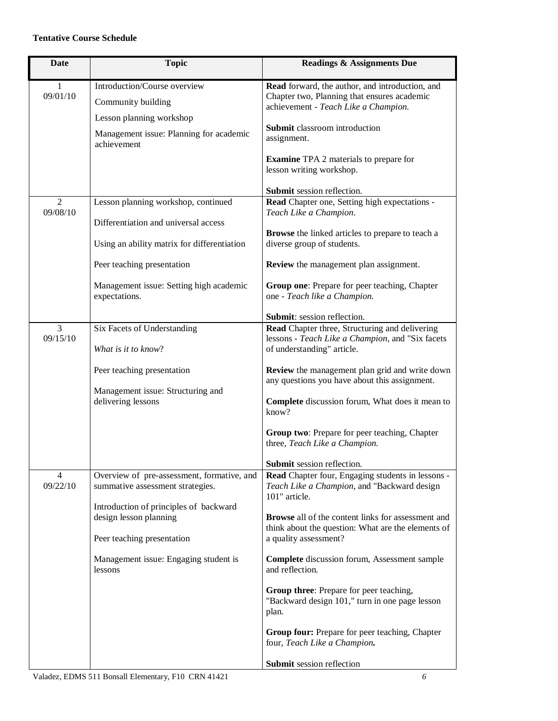## **Tentative Course Schedule**

| <b>Topic</b>                                                                                                                                                                                                                         | <b>Readings &amp; Assignments Due</b>                                                                                                                                                                                                                                                                                                                                                                                                                                                                                                                                               |
|--------------------------------------------------------------------------------------------------------------------------------------------------------------------------------------------------------------------------------------|-------------------------------------------------------------------------------------------------------------------------------------------------------------------------------------------------------------------------------------------------------------------------------------------------------------------------------------------------------------------------------------------------------------------------------------------------------------------------------------------------------------------------------------------------------------------------------------|
| Introduction/Course overview<br>Community building<br>Lesson planning workshop                                                                                                                                                       | Read forward, the author, and introduction, and<br>Chapter two, Planning that ensures academic<br>achievement - Teach Like a Champion.<br>Submit classroom introduction                                                                                                                                                                                                                                                                                                                                                                                                             |
| Management issue: Planning for academic<br>achievement                                                                                                                                                                               | assignment.<br><b>Examine TPA 2</b> materials to prepare for<br>lesson writing workshop.<br>Submit session reflection.                                                                                                                                                                                                                                                                                                                                                                                                                                                              |
| Lesson planning workshop, continued<br>Differentiation and universal access                                                                                                                                                          | Read Chapter one, Setting high expectations -<br>Teach Like a Champion.<br><b>Browse</b> the linked articles to prepare to teach a<br>diverse group of students.                                                                                                                                                                                                                                                                                                                                                                                                                    |
| Peer teaching presentation<br>Management issue: Setting high academic<br>expectations.                                                                                                                                               | Review the management plan assignment.<br>Group one: Prepare for peer teaching, Chapter<br>one - Teach like a Champion.                                                                                                                                                                                                                                                                                                                                                                                                                                                             |
| Six Facets of Understanding<br>What is it to know?<br>Peer teaching presentation<br>Management issue: Structuring and<br>delivering lessons                                                                                          | Submit: session reflection.<br>Read Chapter three, Structuring and delivering<br>lessons - Teach Like a Champion, and "Six facets<br>of understanding" article.<br>Review the management plan grid and write down<br>any questions you have about this assignment.<br>Complete discussion forum, What does it mean to<br>know?<br>Group two: Prepare for peer teaching, Chapter<br>three, Teach Like a Champion.                                                                                                                                                                    |
| Overview of pre-assessment, formative, and<br>summative assessment strategies.<br>Introduction of principles of backward<br>design lesson planning<br>Peer teaching presentation<br>Management issue: Engaging student is<br>lessons | Submit session reflection.<br>Read Chapter four, Engaging students in lessons -<br>Teach Like a Champion, and "Backward design<br>101" article.<br><b>Browse</b> all of the content links for assessment and<br>think about the question: What are the elements of<br>a quality assessment?<br>Complete discussion forum, Assessment sample<br>and reflection.<br>Group three: Prepare for peer teaching,<br>"Backward design 101," turn in one page lesson<br>plan.<br>Group four: Prepare for peer teaching, Chapter<br>four, Teach Like a Champion.<br>Submit session reflection |
|                                                                                                                                                                                                                                      | Using an ability matrix for differentiation                                                                                                                                                                                                                                                                                                                                                                                                                                                                                                                                         |